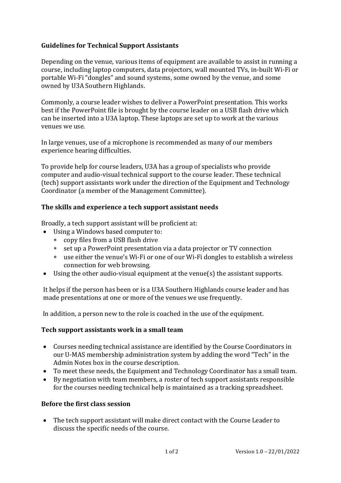# **Guidelines for Technical Support Assistants**

Depending on the venue, various items of equipment are available to assist in running a course, including laptop computers, data projectors, wall mounted TVs, in-built Wi-Fi or portable Wi-Fi "dongles" and sound systems, some owned by the venue, and some owned by U3A Southern Highlands.

Commonly, a course leader wishes to deliver a PowerPoint presentation. This works best if the PowerPoint file is brought by the course leader on a USB flash drive which can be inserted into a U3A laptop. These laptops are set up to work at the various venues we use.

In large venues, use of a microphone is recommended as many of our members experience hearing difficulties.

To provide help for course leaders, U3A has a group of specialists who provide computer and audio-visual technical support to the course leader. These technical (tech) support assistants work under the direction of the Equipment and Technology Coordinator (a member of the Management Committee).

#### **The skills and experience a tech support assistant needs**

Broadly, a tech support assistant will be proficient at:

- Using a Windows based computer to:
	- copy files from a USB flash drive
	- set up a PowerPoint presentation via a data projector or TV connection
	- use either the venue's Wi-Fi or one of our Wi-Fi dongles to establish a wireless connection for web browsing.
- Using the other audio-visual equipment at the venue(s) the assistant supports.

It helps if the person has been or is a U3A Southern Highlands course leader and has made presentations at one or more of the venues we use frequently.

In addition, a person new to the role is coached in the use of the equipment.

### **Tech support assistants work in a small team**

- Courses needing technical assistance are identified by the Course Coordinators in our U-MAS membership administration system by adding the word "Tech" in the Admin Notes box in the course description.
- To meet these needs, the Equipment and Technology Coordinator has a small team.
- By negotiation with team members, a roster of tech support assistants responsible for the courses needing technical help is maintained as a tracking spreadsheet.

### **Before the first class session**

• The tech support assistant will make direct contact with the Course Leader to discuss the specific needs of the course.